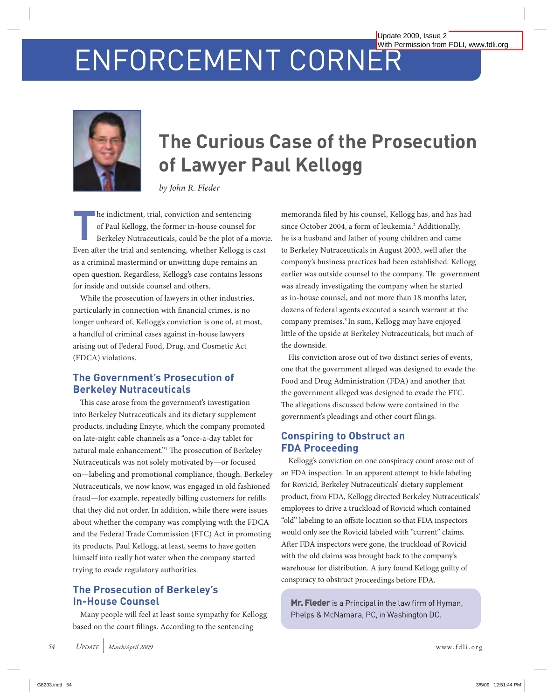# ENFORCEMENT CORNER



## **The Curious Case of the Prosecution of Lawyer Paul Kellogg**

*by John R. Fleder*

**The indictment, trial, conviction and sentencing**<br>
of Paul Kellogg, the former in-house counsel for<br>
Berkeley Nutraceuticals, could be the plot of a movie. of Paul Kellogg, the former in-house counsel for Even after the trial and sentencing, whether Kellogg is cast as a criminal mastermind or unwitting dupe remains an open question. Regardless, Kellogg's case contains lessons for inside and outside counsel and others.

While the prosecution of lawyers in other industries, particularly in connection with financial crimes, is no longer unheard of, Kellogg's conviction is one of, at most, a handful of criminal cases against in-house lawyers arising out of Federal Food, Drug, and Cosmetic Act (FDCA) violations.

### **The Government's Prosecution of Berkeley Nutraceuticals**

This case arose from the government's investigation into Berkeley Nutraceuticals and its dietary supplement products, including Enzyte, which the company promoted on late-night cable channels as a "once-a-day tablet for natural male enhancement."<sup>1</sup> The prosecution of Berkeley Nutraceuticals was not solely motivated by—or focused on—labeling and promotional compliance, though. Berkeley Nutraceuticals, we now know, was engaged in old fashioned fraud—for example, repeatedly billing customers for refills that they did not order. In addition, while there were issues about whether the company was complying with the FDCA and the Federal Trade Commission (FTC) Act in promoting its products, Paul Kellogg, at least, seems to have gotten himself into really hot water when the company started trying to evade regulatory authorities. G8203.indd 54 3/5/09 12:51:44 PM [Update 2009, Issue 2](http://www.fdli.org/pubs/Update/update.html) 

#### **The Prosecution of Berkeley's In-House Counsel**

Many people will feel at least some sympathy for Kellogg based on the court filings. According to the sentencing

memoranda filed by his counsel, Kellogg has, and has had since October 2004, a form of leukemia.<sup>2</sup> Additionally, he is a husband and father of young children and came to Berkeley Nutraceuticals in August 2003, well after the company's business practices had been established. Kellogg earlier was outside counsel to the company. The government was already investigating the company when he started as in-house counsel, and not more than 18 months later, dozens of federal agents executed a search warrant at the company premises.3 In sum, Kellogg may have enjoyed little of the upside at Berkeley Nutraceuticals, but much of the downside.

His conviction arose out of two distinct series of events, one that the government alleged was designed to evade the Food and Drug Administration (FDA) and another that the government alleged was designed to evade the FTC. The allegations discussed below were contained in the government's pleadings and other court filings.

#### **Conspiring to Obstruct an FDA Proceeding**

Kellogg's conviction on one conspiracy count arose out of an FDA inspection. In an apparent attempt to hide labeling for Rovicid, Berkeley Nutraceuticals' dietary supplement product, from FDA, Kellogg directed Berkeley Nutraceuticals' employees to drive a truckload of Rovicid which contained "old" labeling to an offsite location so that FDA inspectors would only see the Rovicid labeled with "current" claims. After FDA inspectors were gone, the truckload of Rovicid with the old claims was brought back to the company's warehouse for distribution. A jury found Kellogg guilty of conspiracy to obstruct proceedings before FDA.

Mr. Fleder is a Principal in the law firm of Hyman, Phelps & McNamara, PC, in Washington DC.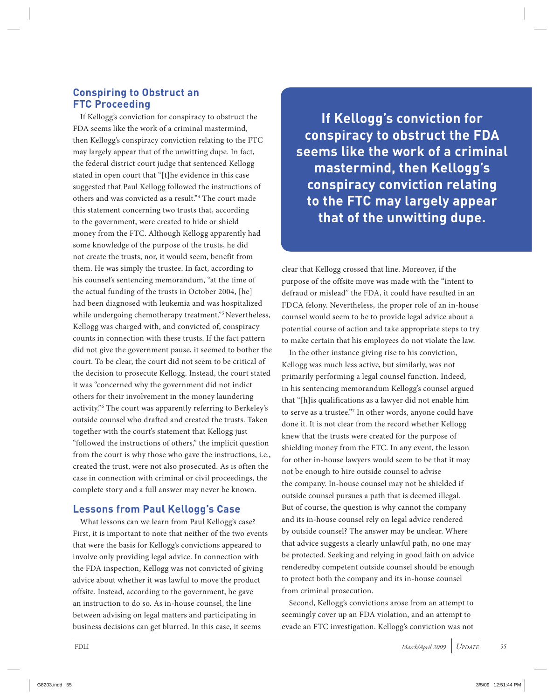#### **Conspiring to Obstruct an FTC Proceeding**

If Kellogg's conviction for conspiracy to obstruct the FDA seems like the work of a criminal mastermind, then Kellogg's conspiracy conviction relating to the FTC may largely appear that of the unwitting dupe. In fact, the federal district court judge that sentenced Kellogg stated in open court that "[t]he evidence in this case suggested that Paul Kellogg followed the instructions of others and was convicted as a result."4 The court made this statement concerning two trusts that, according to the government, were created to hide or shield money from the FTC. Although Kellogg apparently had some knowledge of the purpose of the trusts, he did not create the trusts, nor, it would seem, benefit from them. He was simply the trustee. In fact, according to his counsel's sentencing memorandum, "at the time of the actual funding of the trusts in October 2004, [he] had been diagnosed with leukemia and was hospitalized while undergoing chemotherapy treatment."<sup>5</sup> Nevertheless, Kellogg was charged with, and convicted of, conspiracy counts in connection with these trusts. If the fact pattern did not give the government pause, it seemed to bother the court. To be clear, the court did not seem to be critical of the decision to prosecute Kellogg. Instead, the court stated it was "concerned why the government did not indict others for their involvement in the money laundering activity."6 The court was apparently referring to Berkeley's outside counsel who drafted and created the trusts. Taken together with the court's statement that Kellogg just "followed the instructions of others," the implicit question from the court is why those who gave the instructions, i.e., created the trust, were not also prosecuted. As is often the case in connection with criminal or civil proceedings, the complete story and a full answer may never be known.

### **Lessons from Paul Kellogg's Case**

What lessons can we learn from Paul Kellogg's case? First, it is important to note that neither of the two events that were the basis for Kellogg's convictions appeared to involve only providing legal advice. In connection with the FDA inspection, Kellogg was not convicted of giving advice about whether it was lawful to move the product offsite. Instead, according to the government, he gave an instruction to do so. As in-house counsel, the line between advising on legal matters and participating in business decisions can get blurred. In this case, it seems

**If Kellogg's conviction for conspiracy to obstruct the FDA seems like the work of a criminal mastermind, then Kellogg's conspiracy conviction relating to the FTC may largely appear that of the unwitting dupe.**

clear that Kellogg crossed that line. Moreover, if the purpose of the offsite move was made with the "intent to defraud or mislead" the FDA, it could have resulted in an FDCA felony. Nevertheless, the proper role of an in-house counsel would seem to be to provide legal advice about a potential course of action and take appropriate steps to try to make certain that his employees do not violate the law.

In the other instance giving rise to his conviction, Kellogg was much less active, but similarly, was not primarily performing a legal counsel function. Indeed, in his sentencing memorandum Kellogg's counsel argued that "[h]is qualifications as a lawyer did not enable him to serve as a trustee."7 In other words, anyone could have done it. It is not clear from the record whether Kellogg knew that the trusts were created for the purpose of shielding money from the FTC. In any event, the lesson for other in-house lawyers would seem to be that it may not be enough to hire outside counsel to advise the company. In-house counsel may not be shielded if outside counsel pursues a path that is deemed illegal. But of course, the question is why cannot the company and its in-house counsel rely on legal advice rendered by outside counsel? The answer may be unclear. Where that advice suggests a clearly unlawful path, no one may be protected. Seeking and relying in good faith on advice renderedby competent outside counsel should be enough to protect both the company and its in-house counsel from criminal prosecution.

Second, Kellogg's convictions arose from an attempt to seemingly cover up an FDA violation, and an attempt to evade an FTC investigation. Kellogg's conviction was not